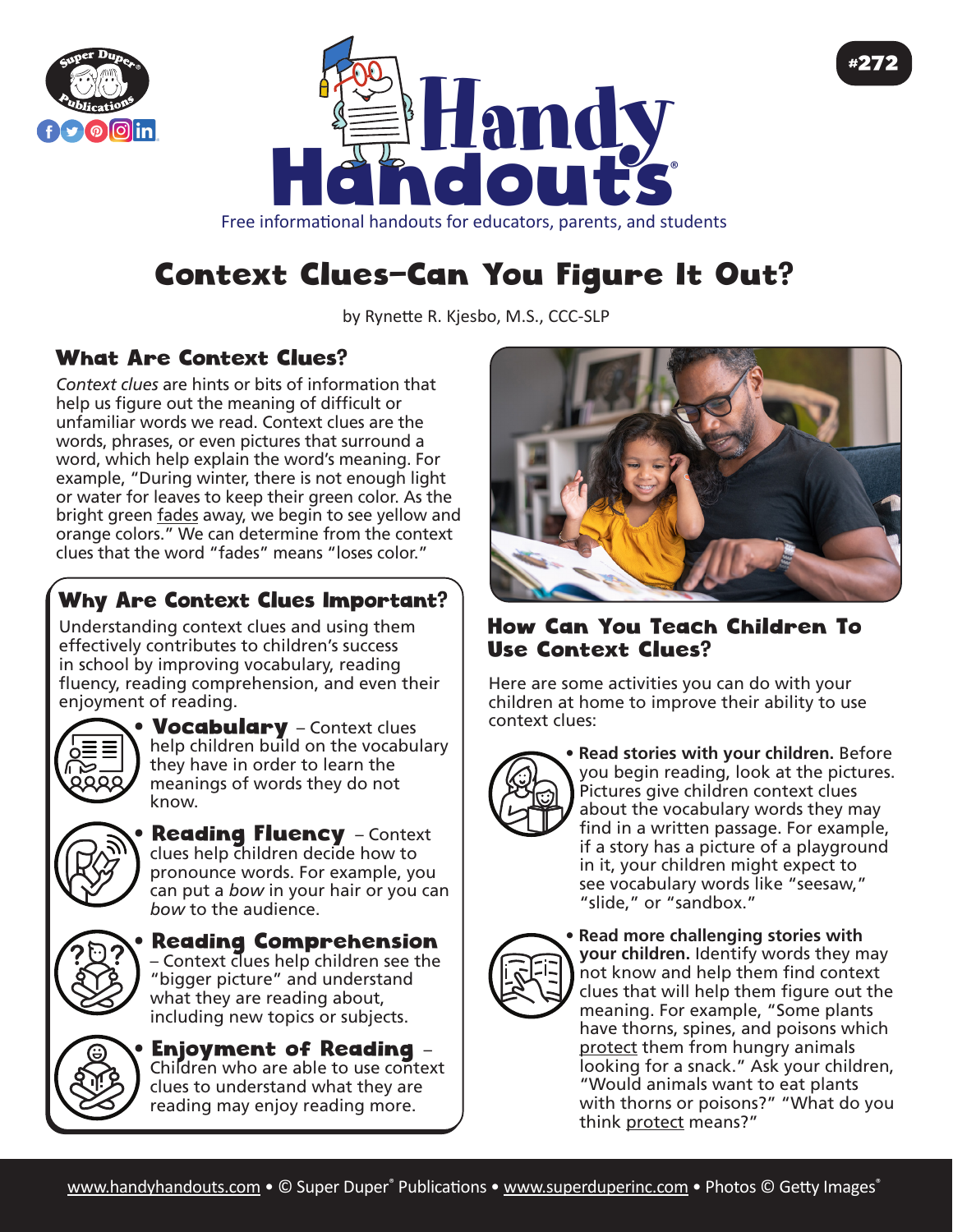



Free informational handouts for educators, parents, and students

## Context Clues—Can You Figure It Out?

by Rynette R. Kjesbo, M.S., CCC-SLP

## What Are Context Clues?

*Context clues* are hints or bits of information that help us figure out the meaning of difficult or unfamiliar words we read. Context clues are the words, phrases, or even pictures that surround a word, which help explain the word's meaning. For example, "During winter, there is not enough light or water for leaves to keep their green color. As the bright green fades away, we begin to see yellow and orange colors." We can determine from the context clues that the word "fades" means "loses color."

## Why Are Context Clues Important?

Understanding context clues and using them effectively contributes to children's success in school by improving vocabulary, reading fluency, reading comprehension, and even their enjoyment of reading.



**Vocabulary** – Context clues help children build on the vocabulary they have in order to learn the meanings of words they do not know.



**Reading Fluency** - Context clues help children decide how to pronounce words. For example, you can put a *bow* in your hair or you can *bow* to the audience.



• Reading Comprehension – Context clues help children see the "bigger picture" and understand what they are reading about, including new topics or subjects.



• Enjoyment of Reading – Children who are able to use context clues to understand what they are reading may enjoy reading more.



#272

## How Can You Teach Children To Use Context Clues?

Here are some activities you can do with your children at home to improve their ability to use context clues:



**• Read stories with your children.** Before you begin reading, look at the pictures. Pictures give children context clues about the vocabulary words they may find in a written passage. For example, if a story has a picture of a playground in it, your children might expect to see vocabulary words like "seesaw," "slide," or "sandbox."



**• Read more challenging stories with your children.** Identify words they may not know and help them find context clues that will help them figure out the meaning. For example, "Some plants have thorns, spines, and poisons which protect them from hungry animals looking for a snack." Ask your children, "Would animals want to eat plants with thorns or poisons?" "What do you think protect means?"